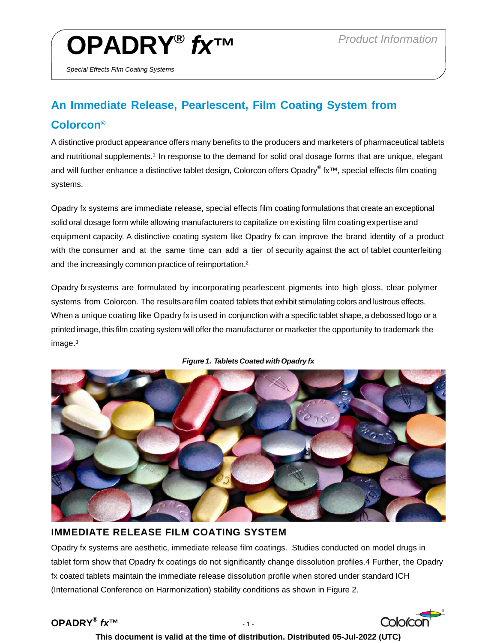# **OPADRY®** *fx™ Product Information*

*Special Effects Film Coating Systems* 

# **An Immediate Release, Pearlescent, Film Coating System from Colorcon®**

A distinctive product appearance offers many benefits to the producers and marketers of pharmaceutical tablets and nutritional supplements.<sup>1</sup> In response to the demand for solid oral dosage forms that are unique, elegant and will further enhance a distinctive tablet design, Colorcon offers Opadry® fx™, special effects film coating systems.

Opadry fx systems are immediate release, special effects film coating formulations that create an exceptional solid oral dosage form while allowing manufacturers to capitalize on existing film coating expertise and equipment capacity. A distinctive coating system like Opadry fx can improve the brand identity of a product with the consumer and at the same time can add a tier of security against the act of tablet counterfeiting and the increasingly common practice of reimportation.2

Opadry fx systems are formulated by incorporating pearlescent pigments into high gloss, clear polymer systems from Colorcon. The results are film coated tablets that exhibit stimulating colors and lustrous effects. When a unique coating like Opadry fx is used in conjunction with a specific tablet shape, a debossed logo or a printed image, this film coating system will offer the manufacturer or marketer the opportunity to trademark the image.3





## **IMMEDIATE RELEASE FILM COATING SYSTEM**

Opadry fx systems are aesthetic, immediate release film coatings. Studies conducted on model drugs in tablet form show that Opadry fx coatings do not significantly change dissolution profiles.4 Further, the Opadry fx coated tablets maintain the immediate release dissolution profile when stored under standard ICH (International Conference on Harmonization) stability conditions as shown in Figure 2.

## **OPADRY®** *fx***™** - 1 -

### **This document is valid at the time of distribution. Distributed 05-Jul-2022 (UTC)**

Colorcon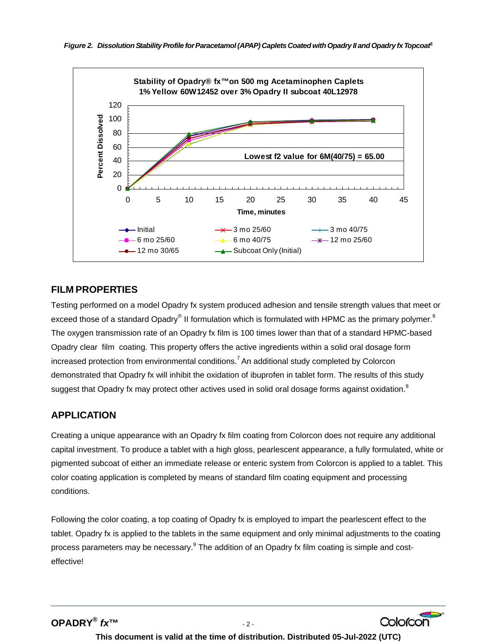

#### **FILM PROPERTIES**

Testing performed on a model Opadry fx system produced adhesion and tensile strength values that meet or exceed those of a standard Opadry® II formulation which is formulated with HPMC as the primary polymer.<sup>6</sup> The oxygen transmission rate of an Opadry fx film is 100 times lower than that of a standard HPMC-based Opadry clear film coating. This property offers the active ingredients within a solid oral dosage form increased protection from environmental conditions.<sup>7</sup> An additional study completed by Colorcon demonstrated that Opadry fx will inhibit the oxidation of ibuprofen in tablet form. The results of this study suggest that Opadry fx may protect other actives used in solid oral dosage forms against oxidation.<sup>8</sup>

#### **APPLICATION**

Creating a unique appearance with an Opadry fx film coating from Colorcon does not require any additional capital investment. To produce a tablet with a high gloss, pearlescent appearance, a fully formulated, white or pigmented subcoat of either an immediate release or enteric system from Colorcon is applied to a tablet. This color coating application is completed by means of standard film coating equipment and processing conditions.

Following the color coating, a top coating of Opadry fx is employed to impart the pearlescent effect to the tablet. Opadry fx is applied to the tablets in the same equipment and only minimal adjustments to the coating process parameters may be necessary.<sup>9</sup> The addition of an Opadry fx film coating is simple and costeffective!



**This document is valid at the time of distribution. Distributed 05-Jul-2022 (UTC)**

Colorcor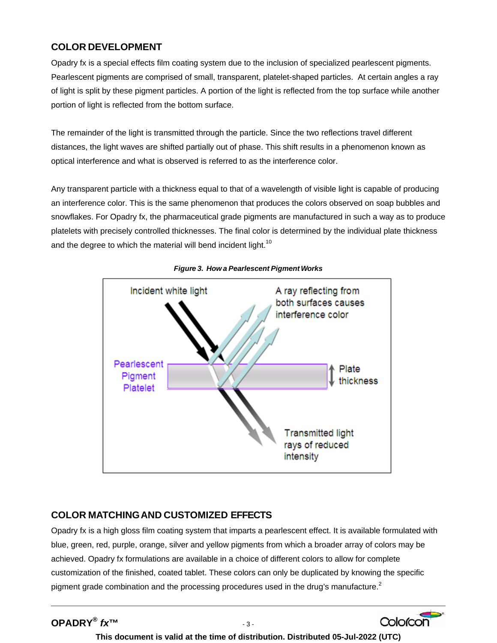#### **COLOR DEVELOPMENT**

Opadry fx is a special effects film coating system due to the inclusion of specialized pearlescent pigments. Pearlescent pigments are comprised of small, transparent, platelet-shaped particles. At certain angles a ray of light is split by these pigment particles. A portion of the light is reflected from the top surface while another portion of light is reflected from the bottom surface.

The remainder of the light is transmitted through the particle. Since the two reflections travel different distances, the light waves are shifted partially out of phase. This shift results in a phenomenon known as optical interference and what is observed is referred to as the interference color.

Any transparent particle with a thickness equal to that of a wavelength of visible light is capable of producing an interference color. This is the same phenomenon that produces the colors observed on soap bubbles and snowflakes. For Opadry fx, the pharmaceutical grade pigments are manufactured in such a way as to produce platelets with precisely controlled thicknesses. The final color is determined by the individual plate thickness and the degree to which the material will bend incident light.<sup>10</sup>



*Figure 3. How a Pearlescent Pigment Works* 

#### **COLOR MATCHING AND CUSTOMIZED EFFECTS**

Opadry fx is a high gloss film coating system that imparts a pearlescent effect. It is available formulated with blue, green, red, purple, orange, silver and yellow pigments from which a broader array of colors may be achieved. Opadry fx formulations are available in a choice of different colors to allow for complete customization of the finished, coated tablet. These colors can only be duplicated by knowing the specific pigment grade combination and the processing procedures used in the drug's manufacture.<sup>2</sup>

**This document is valid at the time of distribution. Distributed 05-Jul-2022 (UTC)**

Colorcon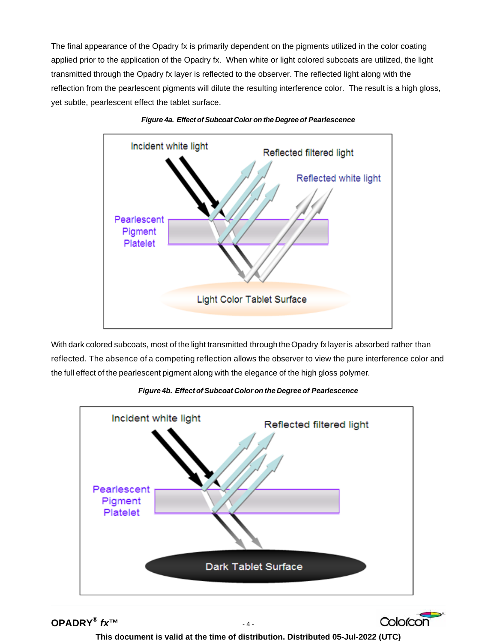The final appearance of the Opadry fx is primarily dependent on the pigments utilized in the color coating applied prior to the application of the Opadry fx. When white or light colored subcoats are utilized, the light transmitted through the Opadry fx layer is reflected to the observer. The reflected light along with the reflection from the pearlescent pigments will dilute the resulting interference color. The result is a high gloss, yet subtle, pearlescent effect the tablet surface.





With dark colored subcoats, most of the light transmitted through the Opadry fx layer is absorbed rather than reflected. The absence of a competing reflection allows the observer to view the pure interference color and the full effect of the pearlescent pigment along with the elegance of the high gloss polymer.



*Figure 4b. Effect of Subcoat Color on the Degree of Pearlescence* 

**OPADRY®** *fx***™** - 4 -

**This document is valid at the time of distribution. Distributed 05-Jul-2022 (UTC)**

Colorcon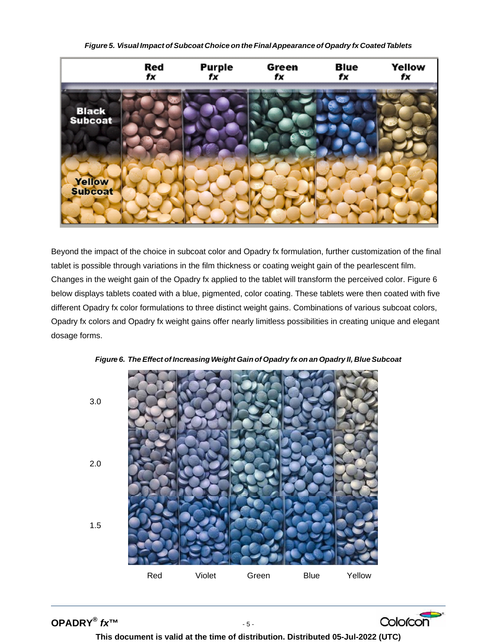*Figure 5. Visual Impact ofSubcoat Choice on the FinalAppearance of Opadry fx CoatedTablets* 



Beyond the impact of the choice in subcoat color and Opadry fx formulation, further customization of the final tablet is possible through variations in the film thickness or coating weight gain of the pearlescent film. Changes in the weight gain of the Opadry fx applied to the tablet will transform the perceived color. Figure 6 below displays tablets coated with a blue, pigmented, color coating. These tablets were then coated with five different Opadry fx color formulations to three distinct weight gains. Combinations of various subcoat colors, Opadry fx colors and Opadry fx weight gains offer nearly limitless possibilities in creating unique and elegant dosage forms.





**OPADRY®** *fx***™** - 5 -





**This document is valid at the time of distribution. Distributed 05-Jul-2022 (UTC)**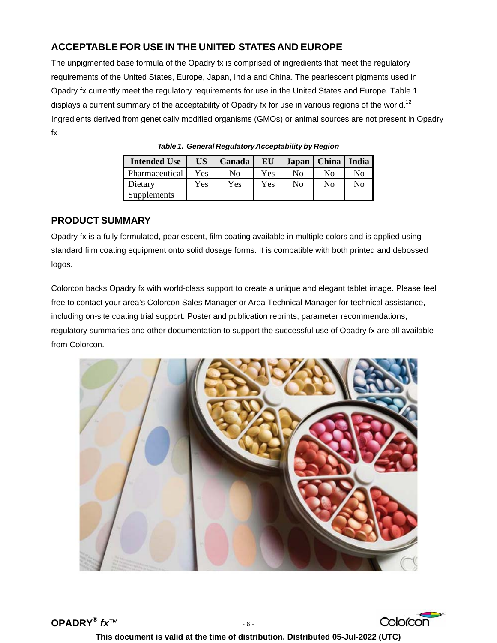#### **ACCEPTABLE FOR USE IN THE UNITED STATESAND EUROPE**

The unpigmented base formula of the Opadry fx is comprised of ingredients that meet the regulatory requirements of the United States, Europe, Japan, India and China. The pearlescent pigments used in Opadry fx currently meet the regulatory requirements for use in the United States and Europe. Table 1 displays a current summary of the acceptability of Opadry fx for use in various regions of the world.<sup>12</sup> Ingredients derived from genetically modified organisms (GMOs) or animal sources are not present in Opadry fx.

| <b>Intended Use</b> | <b>US</b>  | Canada | EU  | Japan | <b>China</b>   | India |
|---------------------|------------|--------|-----|-------|----------------|-------|
| Pharmaceutical      | <b>Yes</b> | Nο     | Yes | Nο    | No             | No    |
| Dietary             | Yes        | Yes    | Yes | No    | N <sub>0</sub> | No    |
| Supplements         |            |        |     |       |                |       |

*Table 1. General RegulatoryAcceptability by Region*

#### **PRODUCT SUMMARY**

Opadry fx is a fully formulated, pearlescent, film coating available in multiple colors and is applied using standard film coating equipment onto solid dosage forms. It is compatible with both printed and debossed logos.

Colorcon backs Opadry fx with world-class support to create a unique and elegant tablet image. Please feel free to contact your area's Colorcon Sales Manager or Area Technical Manager for technical assistance, including on-site coating trial support. Poster and publication reprints, parameter recommendations, regulatory summaries and other documentation to support the successful use of Opadry fx are all available from Colorcon.



**OPADRY®** *fx***™** - 6 -